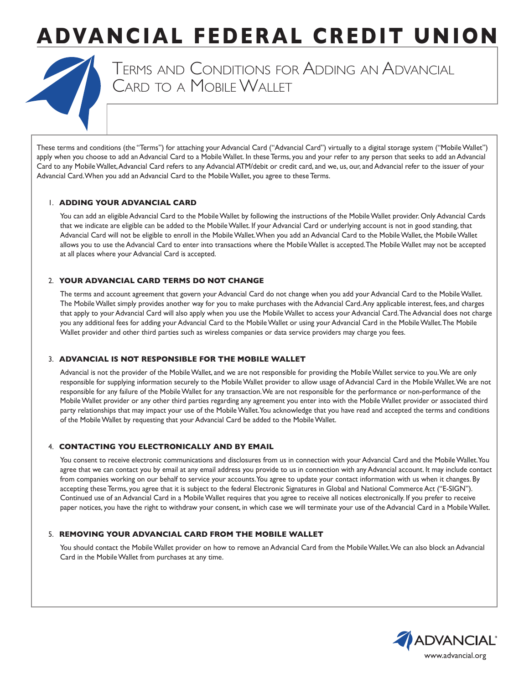# **ADVANCIAL FEDERAL CREDIT UNION**



Terms and Conditions for Adding an Advancial Card to <sup>a</sup> Mobile Wallet

These terms and conditions (the "Terms") for attaching your Advancial Card ("Advancial Card") virtually to a digital storage system ("Mobile Wallet") apply when you choose to add an Advancial Card to a Mobile Wallet. In these Terms, you and your refer to any person that seeks to add an Advancial Card to any Mobile Wallet, Advancial Card refers to any Advancial ATM/debit or credit card, and we, us, our, and Advancial refer to the issuer of your Advancial Card. When you add an Advancial Card to the Mobile Wallet, you agree to these Terms.

### 1. **ADDING YOUR ADVANCIAL CARD**

You can add an eligible Advancial Card to the Mobile Wallet by following the instructions of the Mobile Wallet provider. Only Advancial Cards that we indicate are eligible can be added to the Mobile Wallet. If your Advancial Card or underlying account is not in good standing, that Advancial Card will not be eligible to enroll in the Mobile Wallet. When you add an Advancial Card to the Mobile Wallet, the Mobile Wallet allows you to use the Advancial Card to enter into transactions where the Mobile Wallet is accepted. The Mobile Wallet may not be accepted at all places where your Advancial Card is accepted.

### 2. **YOUR ADVANCIAL CARD TERMS DO NOT CHANGE**

The terms and account agreement that govern your Advancial Card do not change when you add your Advancial Card to the Mobile Wallet. The Mobile Wallet simply provides another way for you to make purchases with the Advancial Card. Any applicable interest, fees, and charges that apply to your Advancial Card will also apply when you use the Mobile Wallet to access your Advancial Card. The Advancial does not charge you any additional fees for adding your Advancial Card to the Mobile Wallet or using your Advancial Card in the Mobile Wallet. The Mobile Wallet provider and other third parties such as wireless companies or data service providers may charge you fees.

### 3. **ADVANCIAL IS NOT RESPONSIBLE FOR THE MOBILE WALLET**

Advancial is not the provider of the Mobile Wallet, and we are not responsible for providing the Mobile Wallet service to you. We are only responsible for supplying information securely to the Mobile Wallet provider to allow usage of Advancial Card in the Mobile Wallet. We are not responsible for any failure of the Mobile Wallet for any transaction. We are not responsible for the performance or non-performance of the Mobile Wallet provider or any other third parties regarding any agreement you enter into with the Mobile Wallet provider or associated third party relationships that may impact your use of the Mobile Wallet. You acknowledge that you have read and accepted the terms and conditions of the Mobile Wallet by requesting that your Advancial Card be added to the Mobile Wallet.

# 4. **CONTACTING YOU ELECTRONICALLY AND BY EMAIL**

You consent to receive electronic communications and disclosures from us in connection with your Advancial Card and the Mobile Wallet. You agree that we can contact you by email at any email address you provide to us in connection with any Advancial account. It may include contact from companies working on our behalf to service your accounts. You agree to update your contact information with us when it changes. By accepting these Terms, you agree that it is subject to the federal Electronic Signatures in Global and National Commerce Act ("E-SIGN"). Continued use of an Advancial Card in a Mobile Wallet requires that you agree to receive all notices electronically. If you prefer to receive paper notices, you have the right to withdraw your consent, in which case we will terminate your use of the Advancial Card in a Mobile Wallet.

# 5. **REMOVING YOUR ADVANCIAL CARD FROM THE MOBILE WALLET**

You should contact the Mobile Wallet provider on how to remove an Advancial Card from the Mobile Wallet. We can also block an Advancial Card in the Mobile Wallet from purchases at any time.